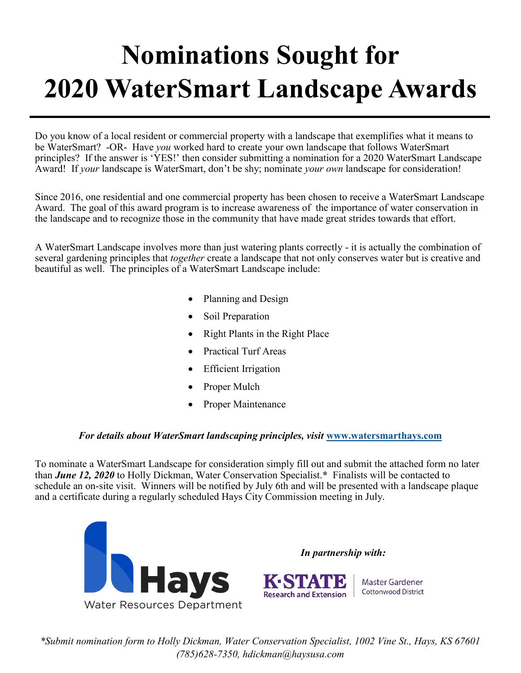## **Nominations Sought for 2020 WaterSmart Landscape Awards**

Do you know of a local resident or commercial property with a landscape that exemplifies what it means to be WaterSmart? -OR- Have *you* worked hard to create your own landscape that follows WaterSmart principles? If the answer is 'YES!' then consider submitting a nomination for a 2020 WaterSmart Landscape Award! If *your* landscape is WaterSmart, don't be shy; nominate *your own* landscape for consideration!

Since 2016, one residential and one commercial property has been chosen to receive a WaterSmart Landscape Award. The goal of this award program is to increase awareness of the importance of water conservation in the landscape and to recognize those in the community that have made great strides towards that effort.

A WaterSmart Landscape involves more than just watering plants correctly - it is actually the combination of several gardening principles that *together* create a landscape that not only conserves water but is creative and beautiful as well. The principles of a WaterSmart Landscape include:

- Planning and Design
- Soil Preparation
- Right Plants in the Right Place
- Practical Turf Areas
- Efficient Irrigation
- Proper Mulch
- Proper Maintenance

## *For details about WaterSmart landscaping principles, visit* **[www.watersmarthays.com](http://www.watersmarthays.com)**

To nominate a WaterSmart Landscape for consideration simply fill out and submit the attached form no later than *June 12, 2020* to Holly Dickman, Water Conservation Specialist.**\*** Finalists will be contacted to schedule an on-site visit. Winners will be notified by July 6th and will be presented with a landscape plaque and a certificate during a regularly scheduled Hays City Commission meeting in July.



*\*Submit nomination form to Holly Dickman, Water Conservation Specialist, 1002 Vine St., Hays, KS 67601 (785)628-7350, hdickman@haysusa.com*